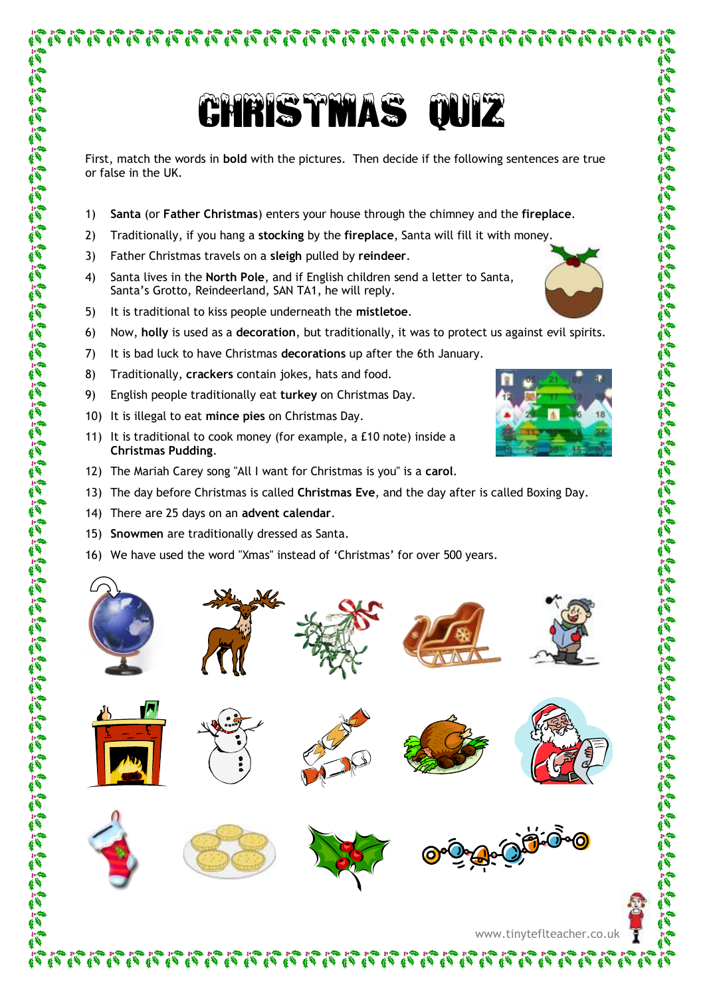不在不在不在不在不在不在不在不在不在不在不在不在不

First, match the words in **bold** with the pictures. Then decide if the following sentences are true or false in the UK.

- 1) **Santa** (or **Father Christmas**) enters your house through the chimney and the **fireplace**.
- 2) Traditionally, if you hang a **stocking** by the **fireplace**, Santa will fill it with money.
- 3) Father Christmas travels on a **sleigh** pulled by **reindeer**.
- 4) Santa lives in the **North Pole**, and if English children send a letter to Santa, Santa's Grotto, Reindeerland, SAN TA1, he will reply.
- 5) It is traditional to kiss people underneath the **mistletoe**.
- 6) Now, **holly** is used as a **decoration**, but traditionally, it was to protect us against evil spirits.
- 7) It is bad luck to have Christmas **decorations** up after the 6th January.
- 8) Traditionally, **crackers** contain jokes, hats and food.
- 9) English people traditionally eat **turkey** on Christmas Day.
- 10) It is illegal to eat **mince pies** on Christmas Day.
- 11) It is traditional to cook money (for example, a £10 note) inside a **Christmas Pudding**.
- 12) The Mariah Carey song "All I want for Christmas is you" is a **carol**.
- 13) The day before Christmas is called **Christmas Eve**, and the day after is called Boxing Day.
- 14) There are 25 days on an **advent calendar**.

- 15) **Snowmen** are traditionally dressed as Santa.
- 16) We have used the word "Xmas" instead of 'Christmas' for over 500 years.